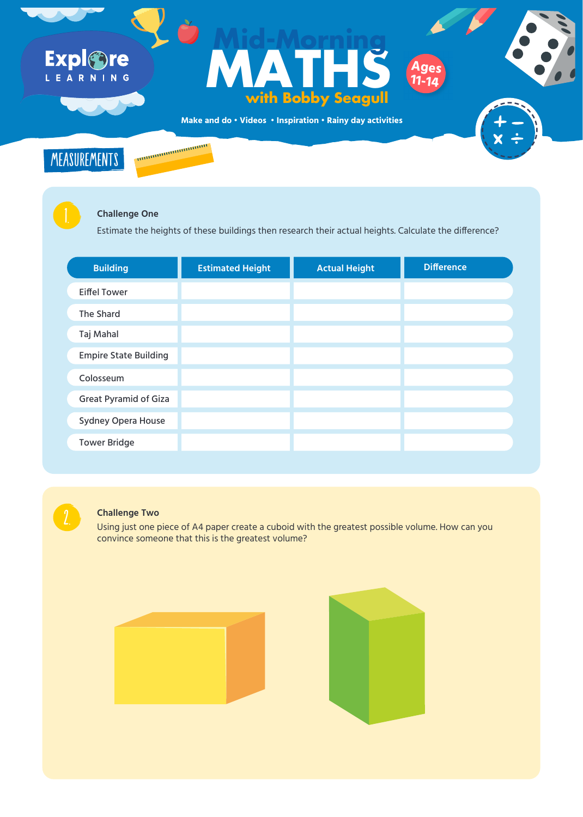

### **Challenge One**

Estimate the heights of these buildings then research their actual heights. Calculate the difference?

| <b>Building</b>              | <b>Estimated Height</b> | <b>Actual Height</b> | <b>Difference</b> |
|------------------------------|-------------------------|----------------------|-------------------|
| <b>Eiffel Tower</b>          |                         |                      |                   |
| The Shard                    |                         |                      |                   |
| Taj Mahal                    |                         |                      |                   |
| <b>Empire State Building</b> |                         |                      |                   |
| Colosseum                    |                         |                      |                   |
| <b>Great Pyramid of Giza</b> |                         |                      |                   |
| <b>Sydney Opera House</b>    |                         |                      |                   |
| <b>Tower Bridge</b>          |                         |                      |                   |



#### 2. **Challenge Two**

Using just one piece of A4 paper create a cuboid with the greatest possible volume. How can you convince someone that this is the greatest volume?



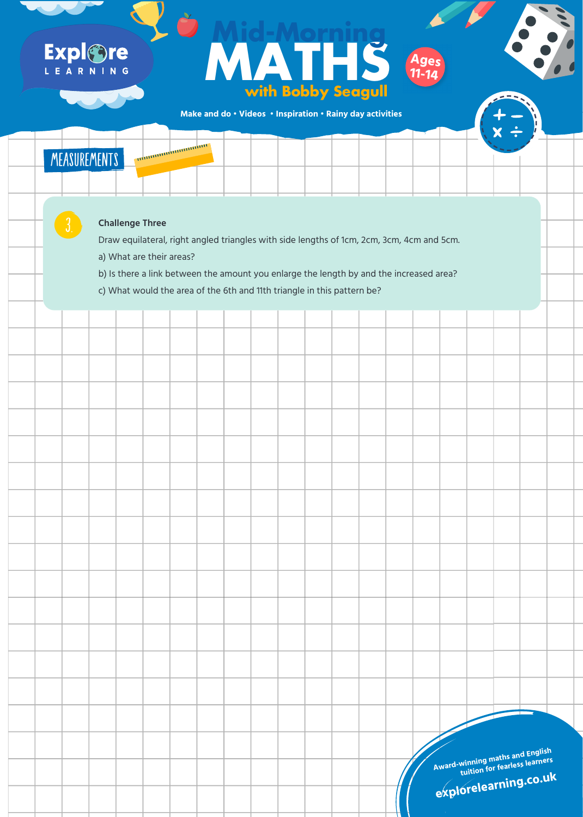# $\mathbf{Q}$ o Expl©re

With Bobby Seegul<br>and do · Videos · Inspiration · Rainy day activities **with Bobby Seagull THS Mid-Morning**

**Ages 11-14**

**Make and do • Videos • Inspiration • Rainy day activities**

### **MEASUREMENTS**



### **Challenge Three**

Draw equilateral, right angled triangles with side lengths of 1cm, 2cm, 3cm, 4cm and 5cm.

- a) What are their areas?
- b) Is there a link between the amount you enlarge the length by and the increased area?
- c) What would the area of the 6th and 11th triangle in this pattern be?

**Award-winning maths and English tuition for fearless learners**

**www.GreatLittleMinds.com www.GreatLittleMinds.com**

## **explorelearning.co.u<sup>k</sup>**